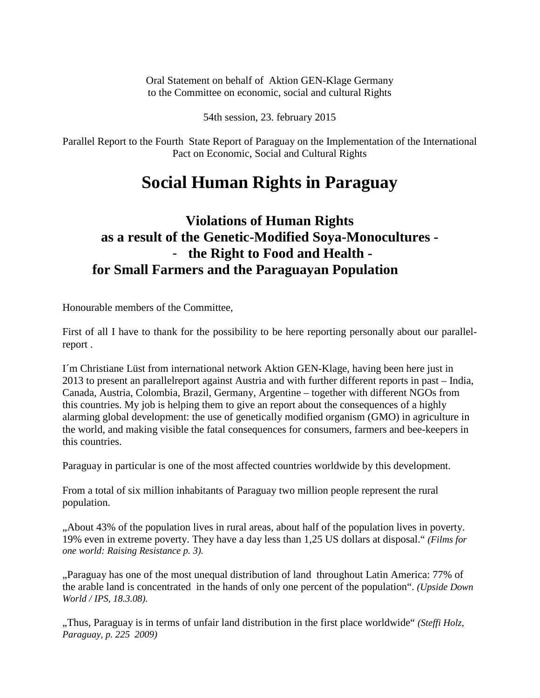Oral Statement on behalf of Aktion GEN-Klage Germany to the Committee on economic, social and cultural Rights

54th session, 23. february 2015

Parallel Report to the Fourth State Report of Paraguay on the Implementation of the International Pact on Economic, Social and Cultural Rights

## **Social Human Rights in Paraguay**

## **Violations of Human Rights as a result of the Genetic-Modified Soya-Monocultures -**  - **the Right to Food and Health for Small Farmers and the Paraguayan Population**

Honourable members of the Committee,

First of all I have to thank for the possibility to be here reporting personally about our parallelreport .

I´m Christiane Lüst from international network Aktion GEN-Klage, having been here just in 2013 to present an parallelreport against Austria and with further different reports in past – India, Canada, Austria, Colombia, Brazil, Germany, Argentine – together with different NGOs from this countries. My job is helping them to give an report about the consequences of a highly alarming global development: the use of genetically modified organism (GMO) in agriculture in the world, and making visible the fatal consequences for consumers, farmers and bee-keepers in this countries.

Paraguay in particular is one of the most affected countries worldwide by this development.

From a total of six million inhabitants of Paraguay two million people represent the rural population.

"About 43% of the population lives in rural areas, about half of the population lives in poverty. 19% even in extreme poverty. They have a day less than 1,25 US dollars at disposal." *(Films for one world: Raising Resistance p. 3).*

"Paraguay has one of the most unequal distribution of land throughout Latin America: 77% of the arable land is concentrated in the hands of only one percent of the population". *(Upside Down World / IPS, 18.3.08).*

"Thus, Paraguay is in terms of unfair land distribution in the first place worldwide" *(Steffi Holz, Paraguay, p. 225 2009)*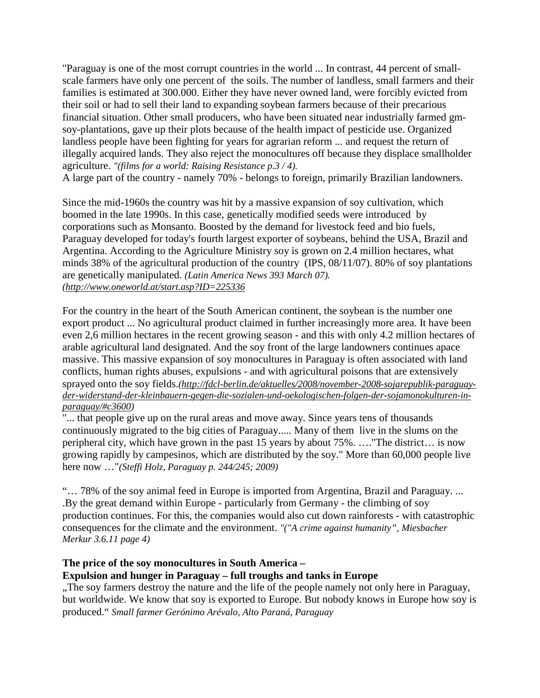"Paraguay is one of the most corrupt countries in the world ... In contrast, 44 percent of smallscale farmers have only one percent of the soils. The number of landless, small farmers and their families is estimated at 300.000. Either they have never owned land, were forcibly evicted from their soil or had to sell their land to expanding soybean farmers because of their precarious financial situation. Other small producers, who have been situated near industrially farmed gmsoy-plantations, gave up their plots because of the health impact of pesticide use. Organized landless people have been fighting for years for agrarian reform ... and request the return of illegally acquired lands. They also reject the monocultures off because they displace smallholder agriculture. *"(films for a world: Raising Resistance p.3 / 4).*

A large part of the country - namely 70% - belongs to foreign, primarily Brazilian landowners.

Since the mid-1960s the country was hit by a massive expansion of soy cultivation, which boomed in the late 1990s. In this case, genetically modified seeds were introduced by corporations such as Monsanto. Boosted by the demand for livestock feed and bio fuels, Paraguay developed for today's fourth largest exporter of soybeans, behind the USA, Brazil and Argentina. According to the Agriculture Ministry soy is grown on 2.4 million hectares, what minds 38% of the agricultural production of the country (IPS, 08/11/07). 80% of soy plantations are genetically manipulated. *(Latin America News 393 March 07). [\(http://www.oneworld.at/start.asp?ID=225336](http://www.oneworld.at/start.asp?ID=225336)*

For the country in the heart of the South American continent, the soybean is the number one export product ... No agricultural product claimed in further increasingly more area. It have been even 2,6 million hectares in the recent growing season - and this with only 4.2 million hectares of arable agricultural land designated. And the soy front of the large landowners continues apace massive. This massive expansion of soy monocultures in Paraguay is often associated with land conflicts, human rights abuses, expulsions - and with agricultural poisons that are extensively sprayed onto the soy fields.*[\(http://fdcl-berlin.de/aktuelles/2008/november-2008-sojarepublik-paraguay](http://fdcl-berlin.de/aktuelles/2008/november-2008-sojarepublik-paraguay-der-widerstand-der-kleinbauern-gegen-die-sozialen-und-oekologischen-folgen-der-sojamonokulturen-in-paraguay/#c3600)[der-widerstand-der-kleinbauern-gegen-die-sozialen-und-oekologischen-folgen-der-sojamonokulturen-in](http://fdcl-berlin.de/aktuelles/2008/november-2008-sojarepublik-paraguay-der-widerstand-der-kleinbauern-gegen-die-sozialen-und-oekologischen-folgen-der-sojamonokulturen-in-paraguay/#c3600)[paraguay/#c3600\)](http://fdcl-berlin.de/aktuelles/2008/november-2008-sojarepublik-paraguay-der-widerstand-der-kleinbauern-gegen-die-sozialen-und-oekologischen-folgen-der-sojamonokulturen-in-paraguay/#c3600)*

"... that people give up on the rural areas and move away. Since years tens of thousands continuously migrated to the big cities of Paraguay..... Many of them live in the slums on the peripheral city, which have grown in the past 15 years by about 75%. …."The district… is now growing rapidly by campesinos, which are distributed by the soy." More than 60,000 people live here now …"*(Steffi Holz, Paraguay p. 244/245; 2009)*

"… 78% of the soy animal feed in Europe is imported from Argentina, Brazil and Paraguay. ... .By the great demand within Europe - particularly from Germany - the climbing of soy production continues. For this, the companies would also cut down rainforests - with catastrophic consequences for the climate and the environment. *"("A crime against humanity", Miesbacher Merkur 3.6.11 page 4)*

## **The price of the soy monocultures in South America – Expulsion and hunger in Paraguay – full troughs and tanks in Europe**

"The soy farmers destroy the nature and the life of the people namely not only here in Paraguay, but worldwide. We know that soy is exported to Europe. But nobody knows in Europe how soy is produced." *Small farmer Gerónimo Arévalo, Alto Paraná, Paraguay*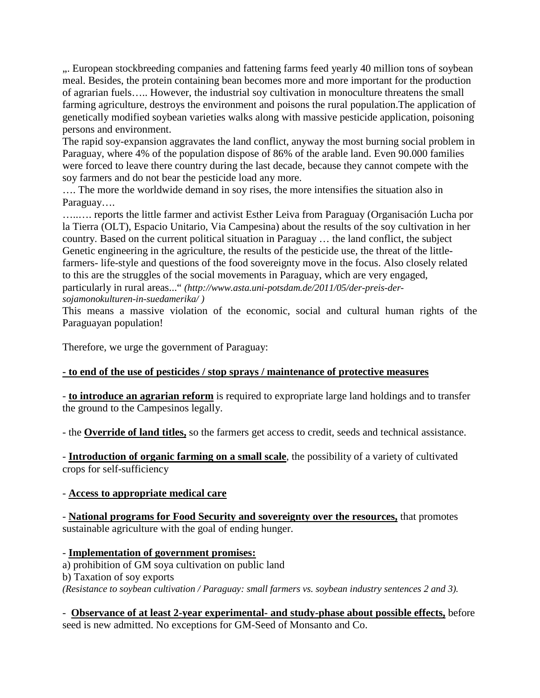... European stockbreeding companies and fattening farms feed yearly 40 million tons of soybean meal. Besides, the protein containing bean becomes more and more important for the production of agrarian fuels….. However, the industrial soy cultivation in monoculture threatens the small farming agriculture, destroys the environment and poisons the rural population.The application of genetically modified soybean varieties walks along with massive pesticide application, poisoning persons and environment.

The rapid soy-expansion aggravates the land conflict, anyway the most burning social problem in Paraguay, where 4% of the population dispose of 86% of the arable land. Even 90.000 families were forced to leave there country during the last decade, because they cannot compete with the soy farmers and do not bear the pesticide load any more.

…. The more the worldwide demand in soy rises, the more intensifies the situation also in Paraguay….

…..…. reports the little farmer and activist Esther Leiva from Paraguay (Organisación Lucha por la Tierra (OLT), Espacio Unitario, Via Campesina) about the results of the soy cultivation in her country. Based on the current political situation in Paraguay … the land conflict, the subject Genetic engineering in the agriculture, the results of the pesticide use, the threat of the littlefarmers- life-style and questions of the food sovereignty move in the focus. Also closely related to this are the struggles of the social movements in Paraguay, which are very engaged, particularly in rural areas..." *(http://www.asta.uni-potsdam.de/2011/05/der-preis-dersojamonokulturen-in-suedamerika/ )*

This means a massive violation of the economic, social and cultural human rights of the Paraguayan population!

Therefore, we urge the government of Paraguay:

## **- to end of the use of pesticides / stop sprays / maintenance of protective measures**

- **to introduce an agrarian reform** is required to expropriate large land holdings and to transfer the ground to the Campesinos legally.

- the **Override of land titles,** so the farmers get access to credit, seeds and technical assistance.

- **Introduction of organic farming on a small scale**, the possibility of a variety of cultivated crops for self-sufficiency

- **Access to appropriate medical care**

- **National programs for Food Security and sovereignty over the resources,** that promotes sustainable agriculture with the goal of ending hunger.

- **Implementation of government promises:** a) prohibition of GM soya cultivation on public land b) Taxation of soy exports *(Resistance to soybean cultivation / Paraguay: small farmers vs. soybean industry sentences 2 and 3).*

- **Observance of at least 2-year experimental- and study-phase about possible effects,** before seed is new admitted. No exceptions for GM-Seed of Monsanto and Co.